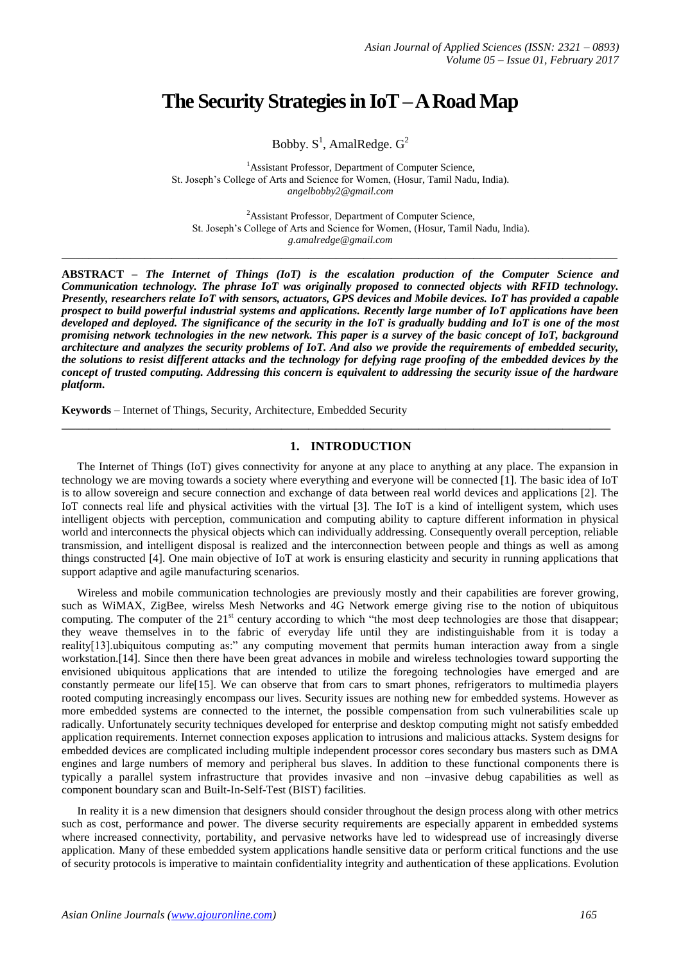# **The Security Strategies in IoT –A Road Map**

Bobby.  $S^1$ , AmalRedge.  $G^2$ 

<sup>1</sup> Assistant Professor, Department of Computer Science, St. Joseph's College of Arts and Science for Women, (Hosur, Tamil Nadu, India). *angelbobby2@gmail.com*

<sup>2</sup>Assistant Professor, Department of Computer Science, St. Joseph's College of Arts and Science for Women, (Hosur, Tamil Nadu, India). *g.amalredge@gmail.com*

**ABSTRACT –** *The Internet of Things (IoT) is the escalation production of the Computer Science and Communication technology. The phrase IoT was originally proposed to connected objects with RFID technology. Presently, researchers relate IoT with sensors, actuators, GPS devices and Mobile devices. IoT has provided a capable prospect to build powerful industrial systems and applications. Recently large number of IoT applications have been developed and deployed. The significance of the security in the IoT is gradually budding and IoT is one of the most promising network technologies in the new network. This paper is a survey of the basic concept of IoT, background architecture and analyzes the security problems of IoT. And also we provide the requirements of embedded security, the solutions to resist different attacks and the technology for defying rage proofing of the embedded devices by the concept of trusted computing. Addressing this concern is equivalent to addressing the security issue of the hardware platform.*

**\_\_\_\_\_\_\_\_\_\_\_\_\_\_\_\_\_\_\_\_\_\_\_\_\_\_\_\_\_\_\_\_\_\_\_\_\_\_\_\_\_\_\_\_\_\_\_\_\_\_\_\_\_\_\_\_\_\_\_\_\_\_\_\_\_\_\_\_\_\_\_\_\_\_\_\_\_\_\_\_\_**

**Keywords** – Internet of Things, Security, Architecture, Embedded Security

# **1. INTRODUCTION**

**\_\_\_\_\_\_\_\_\_\_\_\_\_\_\_\_\_\_\_\_\_\_\_\_\_\_\_\_\_\_\_\_\_\_\_\_\_\_\_\_\_\_\_\_\_\_\_\_\_\_\_\_\_\_\_\_\_\_\_\_\_\_\_\_\_\_\_\_\_\_\_\_\_\_\_\_\_\_\_\_**

The Internet of Things (IoT) gives connectivity for anyone at any place to anything at any place. The expansion in technology we are moving towards a society where everything and everyone will be connected [1]. The basic idea of IoT is to allow sovereign and secure connection and exchange of data between real world devices and applications [2]. The IoT connects real life and physical activities with the virtual [3]. The IoT is a kind of intelligent system, which uses intelligent objects with perception, communication and computing ability to capture different information in physical world and interconnects the physical objects which can individually addressing. Consequently overall perception, reliable transmission, and intelligent disposal is realized and the interconnection between people and things as well as among things constructed [4]. One main objective of IoT at work is ensuring elasticity and security in running applications that support adaptive and agile manufacturing scenarios.

Wireless and mobile communication technologies are previously mostly and their capabilities are forever growing, such as WiMAX, ZigBee, wirelss Mesh Networks and 4G Network emerge giving rise to the notion of ubiquitous computing. The computer of the  $21<sup>st</sup>$  century according to which "the most deep technologies are those that disappear; they weave themselves in to the fabric of everyday life until they are indistinguishable from it is today a reality[13].ubiquitous computing as:" any computing movement that permits human interaction away from a single workstation.[14]. Since then there have been great advances in mobile and wireless technologies toward supporting the envisioned ubiquitous applications that are intended to utilize the foregoing technologies have emerged and are constantly permeate our life[15]. We can observe that from cars to smart phones, refrigerators to multimedia players rooted computing increasingly encompass our lives. Security issues are nothing new for embedded systems. However as more embedded systems are connected to the internet, the possible compensation from such vulnerabilities scale up radically. Unfortunately security techniques developed for enterprise and desktop computing might not satisfy embedded application requirements. Internet connection exposes application to intrusions and malicious attacks. System designs for embedded devices are complicated including multiple independent processor cores secondary bus masters such as DMA engines and large numbers of memory and peripheral bus slaves. In addition to these functional components there is typically a parallel system infrastructure that provides invasive and non –invasive debug capabilities as well as component boundary scan and Built-In-Self-Test (BIST) facilities.

In reality it is a new dimension that designers should consider throughout the design process along with other metrics such as cost, performance and power. The diverse security requirements are especially apparent in embedded systems where increased connectivity, portability, and pervasive networks have led to widespread use of increasingly diverse application. Many of these embedded system applications handle sensitive data or perform critical functions and the use of security protocols is imperative to maintain confidentiality integrity and authentication of these applications. Evolution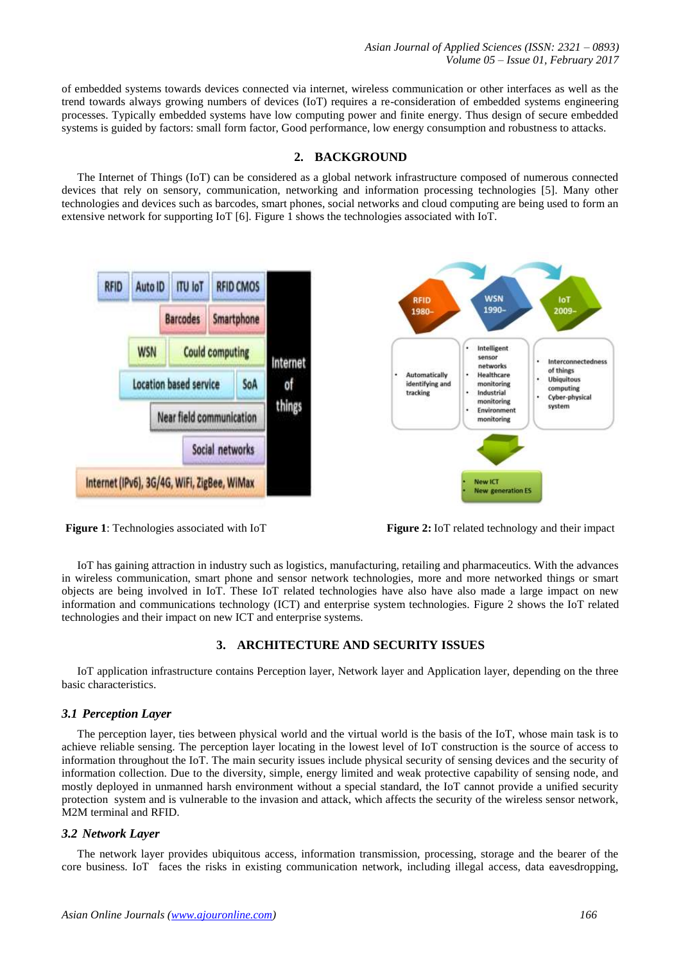of embedded systems towards devices connected via internet, wireless communication or other interfaces as well as the trend towards always growing numbers of devices (IoT) requires a re-consideration of embedded systems engineering processes. Typically embedded systems have low computing power and finite energy. Thus design of secure embedded systems is guided by factors: small form factor, Good performance, low energy consumption and robustness to attacks.

#### **2. BACKGROUND**

The Internet of Things (IoT) can be considered as a global network infrastructure composed of numerous connected devices that rely on sensory, communication, networking and information processing technologies [5]. Many other technologies and devices such as barcodes, smart phones, social networks and cloud computing are being used to form an extensive network for supporting IoT [6]. Figure 1 shows the technologies associated with IoT.



**Figure 1**: Technologies associated with IoT **Figure 2:** IoT related technology and their impact

IoT has gaining attraction in industry such as logistics, manufacturing, retailing and pharmaceutics. With the advances in wireless communication, smart phone and sensor network technologies, more and more networked things or smart objects are being involved in IoT. These IoT related technologies have also have also made a large impact on new information and communications technology (ICT) and enterprise system technologies. Figure 2 shows the IoT related technologies and their impact on new ICT and enterprise systems.

# **3. ARCHITECTURE AND SECURITY ISSUES**

IoT application infrastructure contains Perception layer, Network layer and Application layer, depending on the three basic characteristics.

# *3.1 Perception Layer*

The perception layer, ties between physical world and the virtual world is the basis of the IoT, whose main task is to achieve reliable sensing. The perception layer locating in the lowest level of IoT construction is the source of access to information throughout the IoT. The main security issues include physical security of sensing devices and the security of information collection. Due to the diversity, simple, energy limited and weak protective capability of sensing node, and mostly deployed in unmanned harsh environment without a special standard, the IoT cannot provide a unified security protection system and is vulnerable to the invasion and attack, which affects the security of the wireless sensor network, M2M terminal and RFID.

# *3.2 Network Layer*

The network layer provides ubiquitous access, information transmission, processing, storage and the bearer of the core business. IoT faces the risks in existing communication network, including illegal access, data eavesdropping,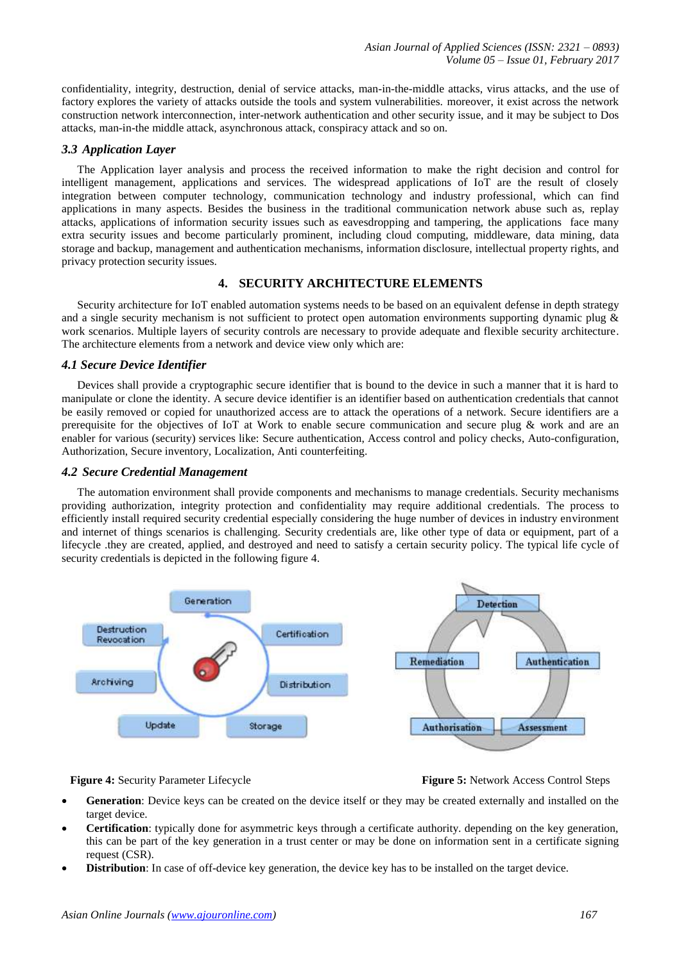confidentiality, integrity, destruction, denial of service attacks, man-in-the-middle attacks, virus attacks, and the use of factory explores the variety of attacks outside the tools and system vulnerabilities. moreover, it exist across the network construction network interconnection, inter-network authentication and other security issue, and it may be subject to Dos attacks, man-in-the middle attack, asynchronous attack, conspiracy attack and so on.

## *3.3 Application Layer*

The Application layer analysis and process the received information to make the right decision and control for intelligent management, applications and services. The widespread applications of IoT are the result of closely integration between computer technology, communication technology and industry professional, which can find applications in many aspects. Besides the business in the traditional communication network abuse such as, replay attacks, applications of information security issues such as eavesdropping and tampering, the applications face many extra security issues and become particularly prominent, including cloud computing, middleware, data mining, data storage and backup, management and authentication mechanisms, information disclosure, intellectual property rights, and privacy protection security issues.

#### **4. SECURITY ARCHITECTURE ELEMENTS**

Security architecture for IoT enabled automation systems needs to be based on an equivalent defense in depth strategy and a single security mechanism is not sufficient to protect open automation environments supporting dynamic plug & work scenarios. Multiple layers of security controls are necessary to provide adequate and flexible security architecture. The architecture elements from a network and device view only which are:

#### *4.1 Secure Device Identifier*

Devices shall provide a cryptographic secure identifier that is bound to the device in such a manner that it is hard to manipulate or clone the identity. A secure device identifier is an identifier based on authentication credentials that cannot be easily removed or copied for unauthorized access are to attack the operations of a network. Secure identifiers are a prerequisite for the objectives of IoT at Work to enable secure communication and secure plug & work and are an enabler for various (security) services like: Secure authentication, Access control and policy checks, Auto-configuration, Authorization, Secure inventory, Localization, Anti counterfeiting.

#### *4.2 Secure Credential Management*

The automation environment shall provide components and mechanisms to manage credentials. Security mechanisms providing authorization, integrity protection and confidentiality may require additional credentials. The process to efficiently install required security credential especially considering the huge number of devices in industry environment and internet of things scenarios is challenging. Security credentials are, like other type of data or equipment, part of a lifecycle .they are created, applied, and destroyed and need to satisfy a certain security policy. The typical life cycle of security credentials is depicted in the following figure 4.



#### **Figure 4:** Security Parameter Lifecycle **Figure 5:** Network Access Control Steps

- **Generation**: Device keys can be created on the device itself or they may be created externally and installed on the target device.
- **Certification**: typically done for asymmetric keys through a certificate authority. depending on the key generation, this can be part of the key generation in a trust center or may be done on information sent in a certificate signing request (CSR).
- **Distribution**: In case of off-device key generation, the device key has to be installed on the target device.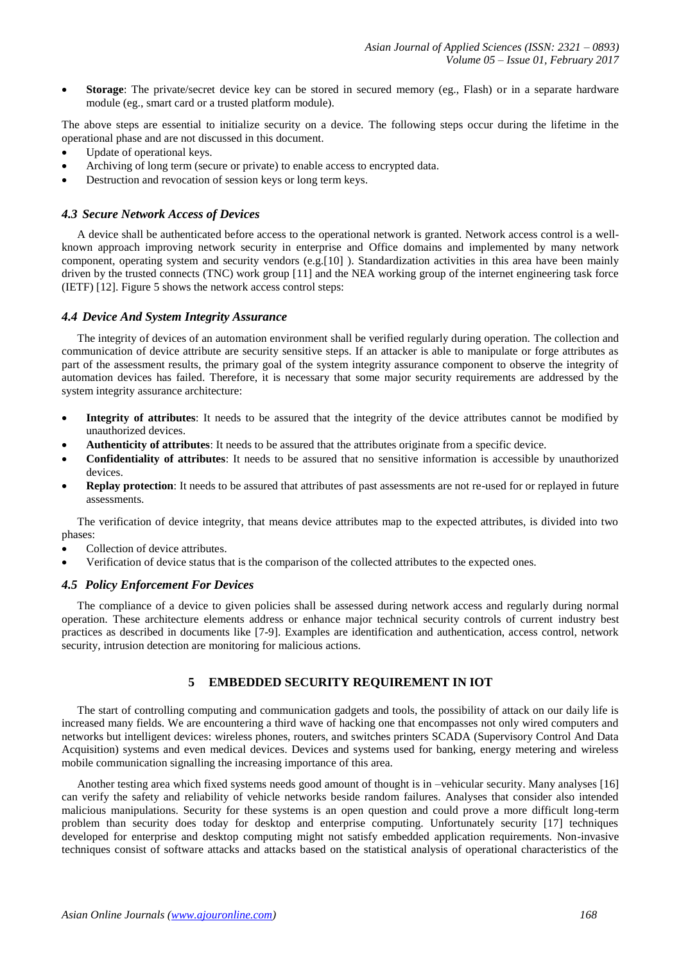**Storage**: The private/secret device key can be stored in secured memory (eg., Flash) or in a separate hardware module (eg., smart card or a trusted platform module).

The above steps are essential to initialize security on a device. The following steps occur during the lifetime in the operational phase and are not discussed in this document.

- Update of operational keys.
- Archiving of long term (secure or private) to enable access to encrypted data.
- Destruction and revocation of session keys or long term keys.

## *4.3 Secure Network Access of Devices*

A device shall be authenticated before access to the operational network is granted. Network access control is a wellknown approach improving network security in enterprise and Office domains and implemented by many network component, operating system and security vendors (e.g.[10] ). Standardization activities in this area have been mainly driven by the trusted connects (TNC) work group [11] and the NEA working group of the internet engineering task force (IETF) [12]. Figure 5 shows the network access control steps:

#### *4.4 Device And System Integrity Assurance*

The integrity of devices of an automation environment shall be verified regularly during operation. The collection and communication of device attribute are security sensitive steps. If an attacker is able to manipulate or forge attributes as part of the assessment results, the primary goal of the system integrity assurance component to observe the integrity of automation devices has failed. Therefore, it is necessary that some major security requirements are addressed by the system integrity assurance architecture:

- **Integrity of attributes**: It needs to be assured that the integrity of the device attributes cannot be modified by unauthorized devices.
- **Authenticity of attributes**: It needs to be assured that the attributes originate from a specific device.
- **Confidentiality of attributes**: It needs to be assured that no sensitive information is accessible by unauthorized devices.
- **Replay protection**: It needs to be assured that attributes of past assessments are not re-used for or replayed in future assessments.

The verification of device integrity, that means device attributes map to the expected attributes, is divided into two phases:

- Collection of device attributes.
- Verification of device status that is the comparison of the collected attributes to the expected ones.

#### *4.5 Policy Enforcement For Devices*

The compliance of a device to given policies shall be assessed during network access and regularly during normal operation. These architecture elements address or enhance major technical security controls of current industry best practices as described in documents like [7-9]. Examples are identification and authentication, access control, network security, intrusion detection are monitoring for malicious actions.

# **5 EMBEDDED SECURITY REQUIREMENT IN IOT**

The start of controlling computing and communication gadgets and tools, the possibility of attack on our daily life is increased many fields. We are encountering a third wave of hacking one that encompasses not only wired computers and networks but intelligent devices: wireless phones, routers, and switches printers SCADA (Supervisory Control And Data Acquisition) systems and even medical devices. Devices and systems used for banking, energy metering and wireless mobile communication signalling the increasing importance of this area.

Another testing area which fixed systems needs good amount of thought is in –vehicular security. Many analyses [16] can verify the safety and reliability of vehicle networks beside random failures. Analyses that consider also intended malicious manipulations. Security for these systems is an open question and could prove a more difficult long-term problem than security does today for desktop and enterprise computing. Unfortunately security [17] techniques developed for enterprise and desktop computing might not satisfy embedded application requirements. Non-invasive techniques consist of software attacks and attacks based on the statistical analysis of operational characteristics of the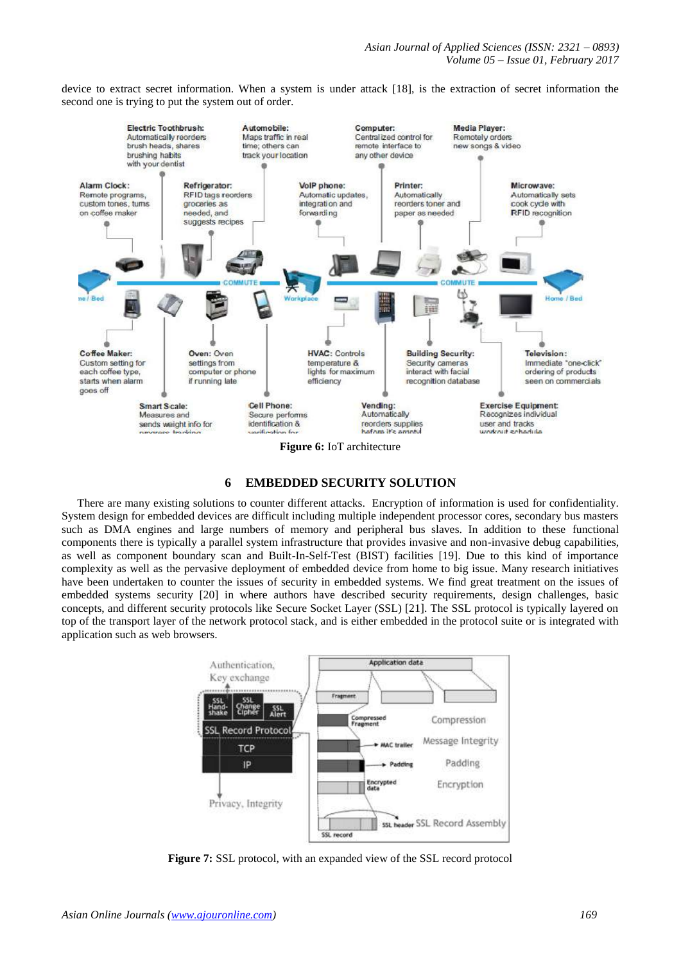device to extract secret information. When a system is under attack [18], is the extraction of secret information the second one is trying to put the system out of order.



#### **6 EMBEDDED SECURITY SOLUTION**

There are many existing solutions to counter different attacks. Encryption of information is used for confidentiality. System design for embedded devices are difficult including multiple independent processor cores, secondary bus masters such as DMA engines and large numbers of memory and peripheral bus slaves. In addition to these functional components there is typically a parallel system infrastructure that provides invasive and non-invasive debug capabilities, as well as component boundary scan and Built-In-Self-Test (BIST) facilities [19]. Due to this kind of importance complexity as well as the pervasive deployment of embedded device from home to big issue. Many research initiatives have been undertaken to counter the issues of security in embedded systems. We find great treatment on the issues of embedded systems security [20] in where authors have described security requirements, design challenges, basic concepts, and different security protocols like Secure Socket Layer (SSL) [21]. The SSL protocol is typically layered on top of the transport layer of the network protocol stack, and is either embedded in the protocol suite or is integrated with application such as web browsers.



**Figure 7:** SSL protocol, with an expanded view of the SSL record protocol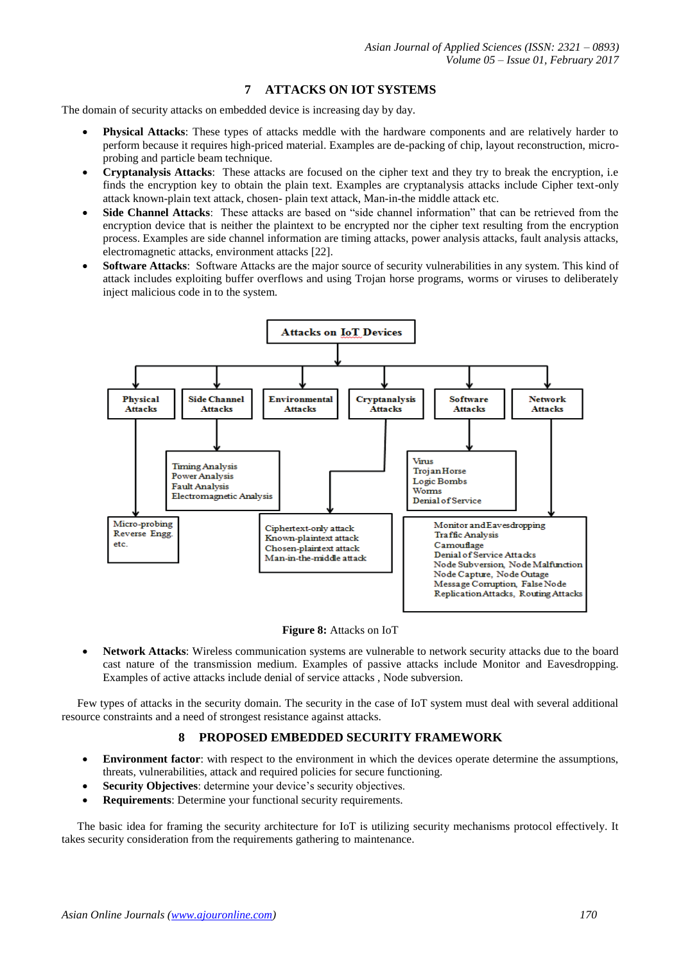# **7 ATTACKS ON IOT SYSTEMS**

The domain of security attacks on embedded device is increasing day by day.

- **Physical Attacks**: These types of attacks meddle with the hardware components and are relatively harder to perform because it requires high-priced material. Examples are de-packing of chip, layout reconstruction, microprobing and particle beam technique.
- **Cryptanalysis Attacks**: These attacks are focused on the cipher text and they try to break the encryption, i.e finds the encryption key to obtain the plain text. Examples are cryptanalysis attacks include Cipher text-only attack known-plain text attack, chosen- plain text attack, Man-in-the middle attack etc.
- **Side Channel Attacks**: These attacks are based on "side channel information" that can be retrieved from the encryption device that is neither the plaintext to be encrypted nor the cipher text resulting from the encryption process. Examples are side channel information are timing attacks, power analysis attacks, fault analysis attacks, electromagnetic attacks, environment attacks [22].
- **Software Attacks**: Software Attacks are the major source of security vulnerabilities in any system. This kind of attack includes exploiting buffer overflows and using Trojan horse programs, worms or viruses to deliberately inject malicious code in to the system.



**Figure 8:** Attacks on IoT

 **Network Attacks**: Wireless communication systems are vulnerable to network security attacks due to the board cast nature of the transmission medium. Examples of passive attacks include Monitor and Eavesdropping. Examples of active attacks include denial of service attacks , Node subversion.

Few types of attacks in the security domain. The security in the case of IoT system must deal with several additional resource constraints and a need of strongest resistance against attacks.

# **8 PROPOSED EMBEDDED SECURITY FRAMEWORK**

- **Environment factor**: with respect to the environment in which the devices operate determine the assumptions, threats, vulnerabilities, attack and required policies for secure functioning.
- **Security Objectives**: determine your device's security objectives.
- **Requirements**: Determine your functional security requirements.

The basic idea for framing the security architecture for IoT is utilizing security mechanisms protocol effectively. It takes security consideration from the requirements gathering to maintenance.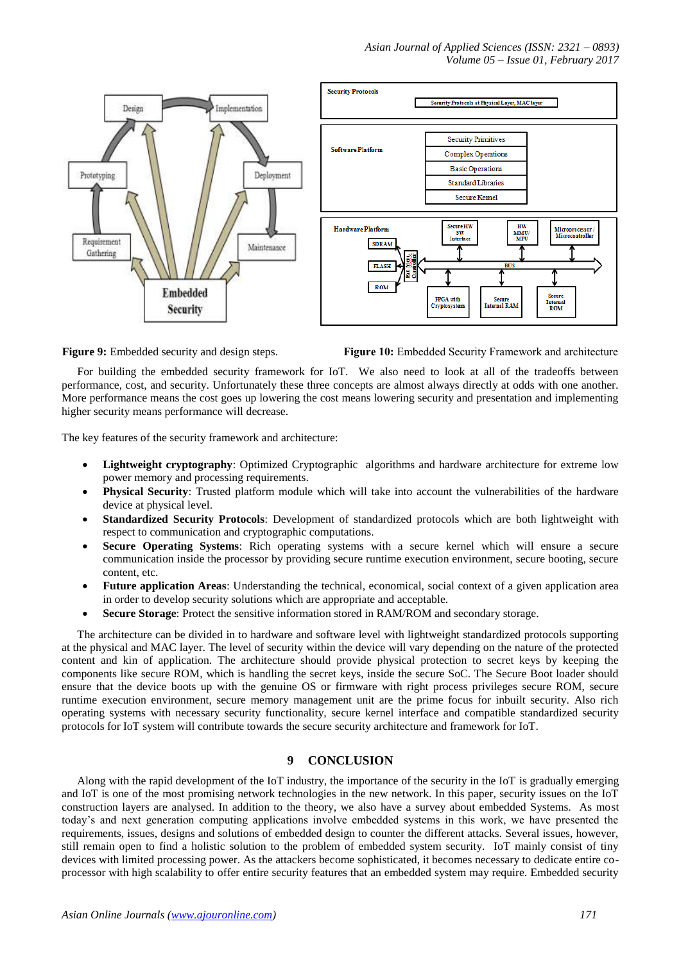



**Figure 9:** Embedded security and design steps. **Figure 10:** Embedded Security Framework and architecture

For building the embedded security framework for IoT. We also need to look at all of the tradeoffs between performance, cost, and security. Unfortunately these three concepts are almost always directly at odds with one another. More performance means the cost goes up lowering the cost means lowering security and presentation and implementing higher security means performance will decrease.

The key features of the security framework and architecture:

- **Lightweight cryptography**: Optimized Cryptographic algorithms and hardware architecture for extreme low power memory and processing requirements.
- **Physical Security**: Trusted platform module which will take into account the vulnerabilities of the hardware device at physical level.
- **Standardized Security Protocols**: Development of standardized protocols which are both lightweight with respect to communication and cryptographic computations.
- **Secure Operating Systems**: Rich operating systems with a secure kernel which will ensure a secure communication inside the processor by providing secure runtime execution environment, secure booting, secure content, etc.
- **Future application Areas**: Understanding the technical, economical, social context of a given application area in order to develop security solutions which are appropriate and acceptable.
- **Secure Storage**: Protect the sensitive information stored in RAM/ROM and secondary storage.

The architecture can be divided in to hardware and software level with lightweight standardized protocols supporting at the physical and MAC layer. The level of security within the device will vary depending on the nature of the protected content and kin of application. The architecture should provide physical protection to secret keys by keeping the components like secure ROM, which is handling the secret keys, inside the secure SoC. The Secure Boot loader should ensure that the device boots up with the genuine OS or firmware with right process privileges secure ROM, secure runtime execution environment, secure memory management unit are the prime focus for inbuilt security. Also rich operating systems with necessary security functionality, secure kernel interface and compatible standardized security protocols for IoT system will contribute towards the secure security architecture and framework for IoT.

# **9 CONCLUSION**

Along with the rapid development of the IoT industry, the importance of the security in the IoT is gradually emerging and IoT is one of the most promising network technologies in the new network. In this paper, security issues on the IoT construction layers are analysed. In addition to the theory, we also have a survey about embedded Systems. As most today's and next generation computing applications involve embedded systems in this work, we have presented the requirements, issues, designs and solutions of embedded design to counter the different attacks. Several issues, however, still remain open to find a holistic solution to the problem of embedded system security. IoT mainly consist of tiny devices with limited processing power. As the attackers become sophisticated, it becomes necessary to dedicate entire coprocessor with high scalability to offer entire security features that an embedded system may require. Embedded security